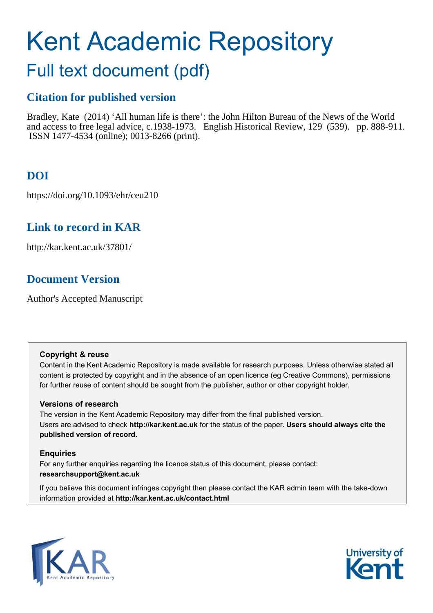# Kent Academic Repository

# Full text document (pdf)

## **Citation for published version**

Bradley, Kate (2014) 'All human life is there': the John Hilton Bureau of the News of the World and access to free legal advice, c.1938-1973. English Historical Review, 129 (539). pp. 888-911. ISSN 1477-4534 (online); 0013-8266 (print).

# **DOI**

https://doi.org/10.1093/ehr/ceu210

## **Link to record in KAR**

http://kar.kent.ac.uk/37801/

## **Document Version**

Author's Accepted Manuscript

#### **Copyright & reuse**

Content in the Kent Academic Repository is made available for research purposes. Unless otherwise stated all content is protected by copyright and in the absence of an open licence (eg Creative Commons), permissions for further reuse of content should be sought from the publisher, author or other copyright holder.

#### **Versions of research**

The version in the Kent Academic Repository may differ from the final published version. Users are advised to check **http://kar.kent.ac.uk** for the status of the paper. **Users should always cite the published version of record.**

#### **Enquiries**

For any further enquiries regarding the licence status of this document, please contact: **researchsupport@kent.ac.uk**

If you believe this document infringes copyright then please contact the KAR admin team with the take-down information provided at **http://kar.kent.ac.uk/contact.html**



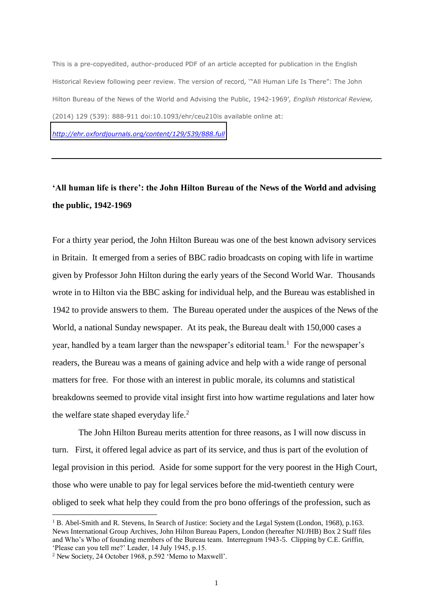This is a pre-copyedited, author-produced PDF of an article accepted for publication in the English Historical Review following peer review. The version of record*,* '"All Human Life Is There": The John Hilton Bureau of the News of the World and Advising the Public, 1942-1969'*, English Historical Review,*  (2014) 129 (539): 888-911 doi:10.1093/ehr/ceu210is available online at: *<http://ehr.oxfordjournals.org/content/129/539/888.full>*

## **'All human life is there': the John Hilton Bureau of the News of the World and advising the public, 1942-1969**

For a thirty year period, the John Hilton Bureau was one of the best known advisory services in Britain. It emerged from a series of BBC radio broadcasts on coping with life in wartime given by Professor John Hilton during the early years of the Second World War. Thousands wrote in to Hilton via the BBC asking for individual help, and the Bureau was established in 1942 to provide answers to them. The Bureau operated under the auspices of the News of the World, a national Sunday newspaper. At its peak, the Bureau dealt with 150,000 cases a year, handled by a team larger than the newspaper's editorial team.<sup>1</sup> For the newspaper's readers, the Bureau was a means of gaining advice and help with a wide range of personal matters for free. For those with an interest in public morale, its columns and statistical breakdowns seemed to provide vital insight first into how wartime regulations and later how the welfare state shaped everyday life. $2$ 

 The John Hilton Bureau merits attention for three reasons, as I will now discuss in turn. First, it offered legal advice as part of its service, and thus is part of the evolution of legal provision in this period. Aside for some support for the very poorest in the High Court, those who were unable to pay for legal services before the mid-twentieth century were obliged to seek what help they could from the pro bono offerings of the profession, such as

<sup>&</sup>lt;sup>1</sup> B. Abel-Smith and R. Stevens, In Search of Justice: Society and the Legal System (London, 1968), p.163. News International Group Archives, John Hilton Bureau Papers, London (hereafter NI/JHB) Box 2 Staff files and Who's Who of founding members of the Bureau team. Interregnum 1943-5. Clipping by C.E. Griffin, 'Please can you tell me?' Leader, 14 July 1945, p.15.

<sup>2</sup> New Society, 24 October 1968, p.592 'Memo to Maxwell'.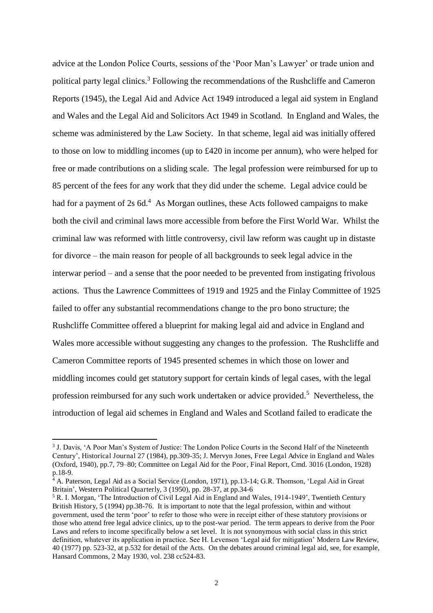advice at the London Police Courts, sessions of the 'Poor Man's Lawyer' or trade union and political party legal clinics.<sup>3</sup> Following the recommendations of the Rushcliffe and Cameron Reports (1945), the Legal Aid and Advice Act 1949 introduced a legal aid system in England and Wales and the Legal Aid and Solicitors Act 1949 in Scotland. In England and Wales, the scheme was administered by the Law Society. In that scheme, legal aid was initially offered to those on low to middling incomes (up to £420 in income per annum), who were helped for free or made contributions on a sliding scale. The legal profession were reimbursed for up to 85 percent of the fees for any work that they did under the scheme. Legal advice could be had for a payment of  $2s$  6d.<sup>4</sup> As Morgan outlines, these Acts followed campaigns to make both the civil and criminal laws more accessible from before the First World War. Whilst the criminal law was reformed with little controversy, civil law reform was caught up in distaste for divorce – the main reason for people of all backgrounds to seek legal advice in the interwar period – and a sense that the poor needed to be prevented from instigating frivolous actions. Thus the Lawrence Committees of 1919 and 1925 and the Finlay Committee of 1925 failed to offer any substantial recommendations change to the pro bono structure; the Rushcliffe Committee offered a blueprint for making legal aid and advice in England and Wales more accessible without suggesting any changes to the profession. The Rushcliffe and Cameron Committee reports of 1945 presented schemes in which those on lower and middling incomes could get statutory support for certain kinds of legal cases, with the legal profession reimbursed for any such work undertaken or advice provided.<sup>5</sup> Nevertheless, the introduction of legal aid schemes in England and Wales and Scotland failed to eradicate the

<sup>&</sup>lt;sup>3</sup> J. Davis, 'A Poor Man's System of Justice: The London Police Courts in the Second Half of the Nineteenth Century', Historical Journal 27 (1984), pp.309-35; J. Mervyn Jones, Free Legal Advice in England and Wales (Oxford, 1940), pp.7, 79–80; Committee on Legal Aid for the Poor, Final Report, Cmd. 3016 (London, 1928) p.18-9.

<sup>&</sup>lt;sup>4</sup> A. Paterson, Legal Aid as a Social Service (London, 1971), pp.13-14; G.R. Thomson, 'Legal Aid in Great Britain', Western Political Quarterly, 3 (1950), pp. 28-37, at pp.34-6

<sup>&</sup>lt;sup>5</sup> R. I. Morgan, 'The Introduction of Civil Legal Aid in England and Wales, 1914-1949', Twentieth Century British History, 5 (1994) pp.38-76. It is important to note that the legal profession, within and without government, used the term 'poor' to refer to those who were in receipt either of these statutory provisions or those who attend free legal advice clinics, up to the post-war period. The term appears to derive from the Poor Laws and refers to income specifically below a set level. It is not synonymous with social class in this strict definition, whatever its application in practice. See H. Levenson 'Legal aid for mitigation' Modern Law Review, 40 (1977) pp. 523-32, at p.532 for detail of the Acts. On the debates around criminal legal aid, see, for example, Hansard Commons, 2 May 1930, vol. 238 cc524-83.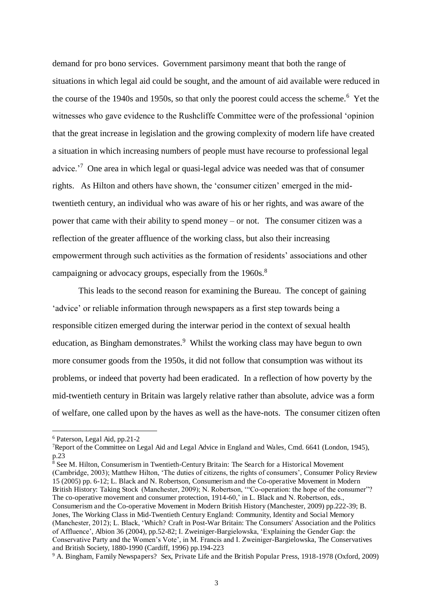demand for pro bono services. Government parsimony meant that both the range of situations in which legal aid could be sought, and the amount of aid available were reduced in the course of the 1940s and 1950s, so that only the poorest could access the scheme.<sup>6</sup> Yet the witnesses who gave evidence to the Rushcliffe Committee were of the professional 'opinion that the great increase in legislation and the growing complexity of modern life have created a situation in which increasing numbers of people must have recourse to professional legal advice.<sup>7</sup> One area in which legal or quasi-legal advice was needed was that of consumer rights. As Hilton and others have shown, the 'consumer citizen' emerged in the midtwentieth century, an individual who was aware of his or her rights, and was aware of the power that came with their ability to spend money – or not. The consumer citizen was a reflection of the greater affluence of the working class, but also their increasing empowerment through such activities as the formation of residents' associations and other campaigning or advocacy groups, especially from the 1960s.<sup>8</sup>

This leads to the second reason for examining the Bureau. The concept of gaining 'advice' or reliable information through newspapers as a first step towards being a responsible citizen emerged during the interwar period in the context of sexual health education, as Bingham demonstrates.<sup>9</sup> Whilst the working class may have begun to own more consumer goods from the 1950s, it did not follow that consumption was without its problems, or indeed that poverty had been eradicated. In a reflection of how poverty by the mid-twentieth century in Britain was largely relative rather than absolute, advice was a form of welfare, one called upon by the haves as well as the have-nots. The consumer citizen often

 $\overline{a}$ 

8 See M. Hilton, Consumerism in Twentieth-Century Britain: The Search for a Historical Movement (Cambridge, 2003); Matthew Hilton, 'The duties of citizens, the rights of consumers', Consumer Policy Review 15 (2005) pp. 6-12; L. Black and N. Robertson, Consumerism and the Co-operative Movement in Modern British History: Taking Stock (Manchester, 2009); N. Robertson, "Co-operation: the hope of the consumer"? The co-operative movement and consumer protection, 1914-60,' in L. Black and N. Robertson, eds., Consumerism and the Co-operative Movement in Modern British History (Manchester, 2009) pp.222-39; B. Jones, The Working Class in Mid-Twentieth Century England: Community, Identity and Social Memory (Manchester, 2012); L. Black, 'Which? Craft in Post-War Britain: The Consumers' Association and the Politics of Affluence', Albion 36 (2004), pp.52-82; I. Zweiniger-Bargielowska, 'Explaining the Gender Gap: the Conservative Party and the Women's Vote', in M. Francis and I. Zweiniger-Bargielowska, The Conservatives and British Society, 1880-1990 (Cardiff, 1996) pp.194-223

<sup>9</sup> A. Bingham, Family Newspapers? Sex, Private Life and the British Popular Press, 1918-1978 (Oxford, 2009)

<sup>6</sup> Paterson, Legal Aid, pp.21-2

<sup>7</sup>Report of the Committee on Legal Aid and Legal Advice in England and Wales, Cmd. 6641 (London, 1945), p.23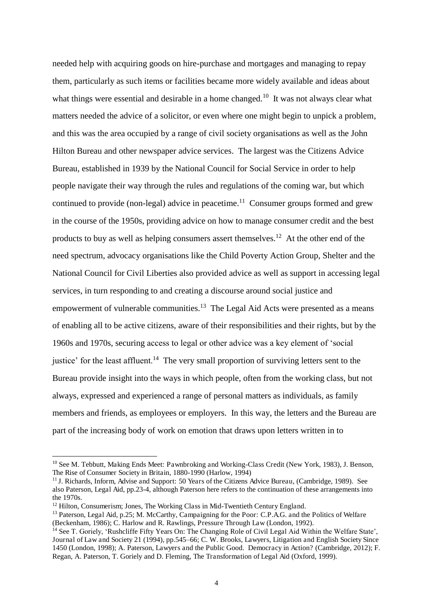needed help with acquiring goods on hire-purchase and mortgages and managing to repay them, particularly as such items or facilities became more widely available and ideas about what things were essential and desirable in a home changed.<sup>10</sup> It was not always clear what matters needed the advice of a solicitor, or even where one might begin to unpick a problem, and this was the area occupied by a range of civil society organisations as well as the John Hilton Bureau and other newspaper advice services. The largest was the Citizens Advice Bureau, established in 1939 by the National Council for Social Service in order to help people navigate their way through the rules and regulations of the coming war, but which continued to provide (non-legal) advice in peacetime.<sup>11</sup> Consumer groups formed and grew in the course of the 1950s, providing advice on how to manage consumer credit and the best products to buy as well as helping consumers assert themselves.<sup>12</sup> At the other end of the need spectrum, advocacy organisations like the Child Poverty Action Group, Shelter and the National Council for Civil Liberties also provided advice as well as support in accessing legal services, in turn responding to and creating a discourse around social justice and empowerment of vulnerable communities.<sup>13</sup> The Legal Aid Acts were presented as a means of enabling all to be active citizens, aware of their responsibilities and their rights, but by the 1960s and 1970s, securing access to legal or other advice was a key element of 'social justice' for the least affluent.<sup>14</sup> The very small proportion of surviving letters sent to the Bureau provide insight into the ways in which people, often from the working class, but not always, expressed and experienced a range of personal matters as individuals, as family members and friends, as employees or employers. In this way, the letters and the Bureau are part of the increasing body of work on emotion that draws upon letters written in to

<sup>&</sup>lt;sup>10</sup> See M. Tebbutt, Making Ends Meet: Pawnbroking and Working-Class Credit (New York, 1983), J. Benson, The Rise of Consumer Society in Britain, 1880-1990 (Harlow, 1994)

<sup>&</sup>lt;sup>11</sup> J. Richards, Inform, Advise and Support: 50 Years of the Citizens Advice Bureau, (Cambridge, 1989). See also Paterson, Legal Aid, pp.23-4, although Paterson here refers to the continuation of these arrangements into the 1970s.

<sup>&</sup>lt;sup>12</sup> Hilton, Consumerism; Jones, The Working Class in Mid-Twentieth Century England.

<sup>&</sup>lt;sup>13</sup> Paterson, Legal Aid, p.25; M. McCarthy, Campaigning for the Poor: C.P.A.G. and the Politics of Welfare (Beckenham, 1986); C. Harlow and R. Rawlings, Pressure Through Law (London, 1992).

<sup>&</sup>lt;sup>14</sup> See T. Goriely, 'Rushcliffe Fifty Years On: The Changing Role of Civil Legal Aid Within the Welfare State'. Journal of Law and Society 21 (1994), pp.545–66; C. W. Brooks, Lawyers, Litigation and English Society Since 1450 (London, 1998); A. Paterson, Lawyers and the Public Good. Democracy in Action? (Cambridge, 2012); F. Regan, A. Paterson, T. Goriely and D. Fleming, The Transformation of Legal Aid (Oxford, 1999).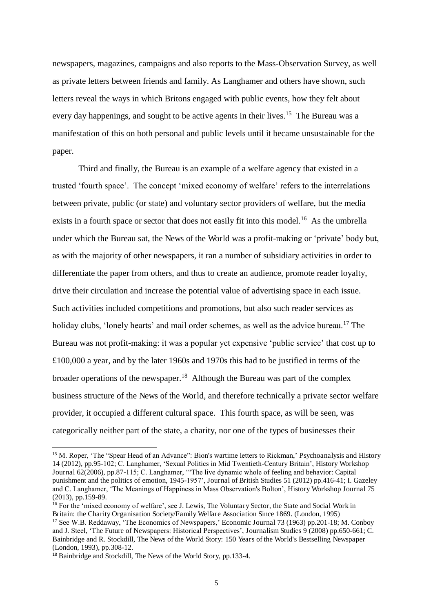newspapers, magazines, campaigns and also reports to the Mass-Observation Survey, as well as private letters between friends and family. As Langhamer and others have shown, such letters reveal the ways in which Britons engaged with public events, how they felt about every day happenings, and sought to be active agents in their lives.<sup>15</sup> The Bureau was a manifestation of this on both personal and public levels until it became unsustainable for the paper.

Third and finally, the Bureau is an example of a welfare agency that existed in a trusted 'fourth space'. The concept 'mixed economy of welfare' refers to the interrelations between private, public (or state) and voluntary sector providers of welfare, but the media exists in a fourth space or sector that does not easily fit into this model.<sup>16</sup> As the umbrella under which the Bureau sat, the News of the World was a profit-making or 'private' body but, as with the majority of other newspapers, it ran a number of subsidiary activities in order to differentiate the paper from others, and thus to create an audience, promote reader loyalty, drive their circulation and increase the potential value of advertising space in each issue. Such activities included competitions and promotions, but also such reader services as holiday clubs, 'lonely hearts' and mail order schemes, as well as the advice bureau.<sup>17</sup> The Bureau was not profit-making: it was a popular yet expensive 'public service' that cost up to £100,000 a year, and by the later 1960s and 1970s this had to be justified in terms of the broader operations of the newspaper.<sup>18</sup> Although the Bureau was part of the complex business structure of the News of the World, and therefore technically a private sector welfare provider, it occupied a different cultural space. This fourth space, as will be seen, was categorically neither part of the state, a charity, nor one of the types of businesses their

 $\overline{a}$ 

(London, 1993), pp.308-12.

<sup>15</sup> M. Roper, 'The "Spear Head of an Advance": Bion's wartime letters to Rickman,' Psychoanalysis and History 14 (2012), pp.95-102; C. Langhamer, 'Sexual Politics in Mid Twentieth-Century Britain', History Workshop Journal 62(2006), pp.87-115; C. Langhamer, '"The live dynamic whole of feeling and behavior: Capital punishment and the politics of emotion, 1945-1957', Journal of British Studies 51 (2012) pp.416-41; I. Gazeley and C. Langhamer, 'The Meanings of Happiness in Mass Observation's Bolton', History Workshop Journal 75 (2013), pp.159-89.

<sup>&</sup>lt;sup>16</sup> For the 'mixed economy of welfare', see J. Lewis, The Voluntary Sector, the State and Social Work in Britain: the Charity Organisation Society/Family Welfare Association Since 1869. (London, 1995) <sup>17</sup> See W.B. Reddaway, 'The Economics of Newspapers,' Economic Journal 73 (1963) pp.201-18; M. Conboy and J. Steel, 'The Future of Newspapers: Historical Perspectives', Journalism Studies 9 (2008) pp.650-661; C. Bainbridge and R. Stockdill, The News of the World Story: 150 Years of the World's Bestselling Newspaper

<sup>&</sup>lt;sup>18</sup> Bainbridge and Stockdill, The News of the World Story, pp.133-4.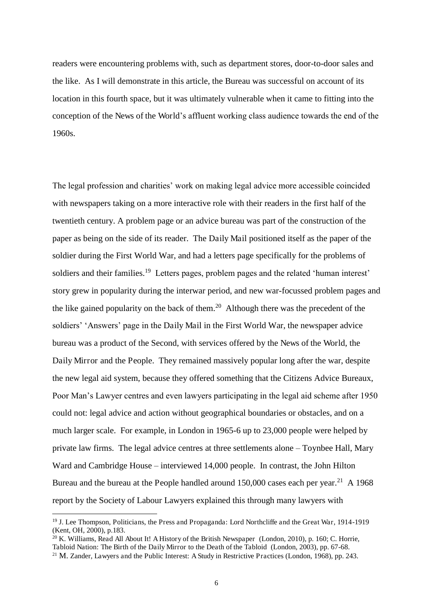readers were encountering problems with, such as department stores, door-to-door sales and the like. As I will demonstrate in this article, the Bureau was successful on account of its location in this fourth space, but it was ultimately vulnerable when it came to fitting into the conception of the News of the World's affluent working class audience towards the end of the 1960s.

The legal profession and charities' work on making legal advice more accessible coincided with newspapers taking on a more interactive role with their readers in the first half of the twentieth century. A problem page or an advice bureau was part of the construction of the paper as being on the side of its reader. The Daily Mail positioned itself as the paper of the soldier during the First World War, and had a letters page specifically for the problems of soldiers and their families.<sup>19</sup> Letters pages, problem pages and the related 'human interest' story grew in popularity during the interwar period, and new war-focussed problem pages and the like gained popularity on the back of them.<sup>20</sup> Although there was the precedent of the soldiers' 'Answers' page in the Daily Mail in the First World War, the newspaper advice bureau was a product of the Second, with services offered by the News of the World, the Daily Mirror and the People. They remained massively popular long after the war, despite the new legal aid system, because they offered something that the Citizens Advice Bureaux, Poor Man's Lawyer centres and even lawyers participating in the legal aid scheme after 1950 could not: legal advice and action without geographical boundaries or obstacles, and on a much larger scale. For example, in London in 1965-6 up to 23,000 people were helped by private law firms. The legal advice centres at three settlements alone – Toynbee Hall, Mary Ward and Cambridge House – interviewed 14,000 people. In contrast, the John Hilton Bureau and the bureau at the People handled around  $150,000$  cases each per year.<sup>21</sup> A 1968 report by the Society of Labour Lawyers explained this through many lawyers with

 $^{20}$  K. Williams, Read All About It! A History of the British Newspaper (London, 2010), p. 160; C. Horrie, Tabloid Nation: The Birth of the Daily Mirror to the Death of the Tabloid (London, 2003), pp. 67-68.

<sup>19</sup> J. Lee Thompson, Politicians, the Press and Propaganda: Lord Northcliffe and the Great War, 1914-1919 (Kent, OH, 2000), p.183.

<sup>&</sup>lt;sup>21</sup> M. Zander, Lawyers and the Public Interest: A Study in Restrictive Practices (London, 1968), pp. 243.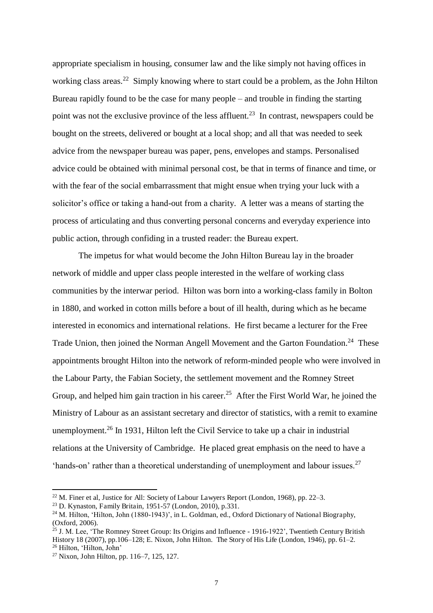appropriate specialism in housing, consumer law and the like simply not having offices in working class areas.<sup>22</sup> Simply knowing where to start could be a problem, as the John Hilton Bureau rapidly found to be the case for many people – and trouble in finding the starting point was not the exclusive province of the less affluent.<sup>23</sup> In contrast, newspapers could be bought on the streets, delivered or bought at a local shop; and all that was needed to seek advice from the newspaper bureau was paper, pens, envelopes and stamps. Personalised advice could be obtained with minimal personal cost, be that in terms of finance and time, or with the fear of the social embarrassment that might ensue when trying your luck with a solicitor's office or taking a hand-out from a charity. A letter was a means of starting the process of articulating and thus converting personal concerns and everyday experience into public action, through confiding in a trusted reader: the Bureau expert.

The impetus for what would become the John Hilton Bureau lay in the broader network of middle and upper class people interested in the welfare of working class communities by the interwar period. Hilton was born into a working-class family in Bolton in 1880, and worked in cotton mills before a bout of ill health, during which as he became interested in economics and international relations. He first became a lecturer for the Free Trade Union, then joined the Norman Angell Movement and the Garton Foundation.<sup>24</sup> These appointments brought Hilton into the network of reform-minded people who were involved in the Labour Party, the Fabian Society, the settlement movement and the Romney Street Group, and helped him gain traction in his career.<sup>25</sup> After the First World War, he joined the Ministry of Labour as an assistant secretary and director of statistics, with a remit to examine unemployment.<sup>26</sup> In 1931, Hilton left the Civil Service to take up a chair in industrial relations at the University of Cambridge. He placed great emphasis on the need to have a 'hands-on' rather than a theoretical understanding of unemployment and labour issues.<sup>27</sup>

<sup>&</sup>lt;sup>22</sup> M. Finer et al, Justice for All: Society of Labour Lawyers Report (London, 1968), pp. 22–3.

<sup>23</sup> D. Kynaston, Family Britain, 1951-57 (London, 2010), p.331.

<sup>&</sup>lt;sup>24</sup> M. Hilton, 'Hilton, John (1880-1943)', in L. Goldman, ed., Oxford Dictionary of National Biography, (Oxford, 2006).

 $^{25}$  J. M. Lee, 'The Romney Street Group: Its Origins and Influence - 1916-1922'. Twentieth Century British History 18 (2007), pp.106–128; E. Nixon, John Hilton. The Story of His Life (London, 1946), pp. 61–2. <sup>26</sup> Hilton, 'Hilton, John'

<sup>27</sup> Nixon, John Hilton, pp. 116–7, 125, 127.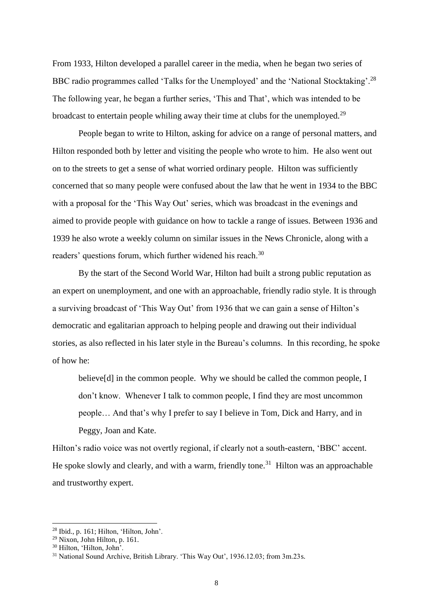From 1933, Hilton developed a parallel career in the media, when he began two series of BBC radio programmes called 'Talks for the Unemployed' and the 'National Stocktaking'.<sup>28</sup> The following year, he began a further series, 'This and That', which was intended to be broadcast to entertain people whiling away their time at clubs for the unemployed.<sup>29</sup>

People began to write to Hilton, asking for advice on a range of personal matters, and Hilton responded both by letter and visiting the people who wrote to him. He also went out on to the streets to get a sense of what worried ordinary people. Hilton was sufficiently concerned that so many people were confused about the law that he went in 1934 to the BBC with a proposal for the 'This Way Out' series, which was broadcast in the evenings and aimed to provide people with guidance on how to tackle a range of issues. Between 1936 and 1939 he also wrote a weekly column on similar issues in the News Chronicle, along with a readers' questions forum, which further widened his reach.<sup>30</sup>

By the start of the Second World War, Hilton had built a strong public reputation as an expert on unemployment, and one with an approachable, friendly radio style. It is through a surviving broadcast of 'This Way Out' from 1936 that we can gain a sense of Hilton's democratic and egalitarian approach to helping people and drawing out their individual stories, as also reflected in his later style in the Bureau's columns. In this recording, he spoke of how he:

believe[d] in the common people. Why we should be called the common people, I don't know. Whenever I talk to common people, I find they are most uncommon people… And that's why I prefer to say I believe in Tom, Dick and Harry, and in Peggy, Joan and Kate.

Hilton's radio voice was not overtly regional, if clearly not a south-eastern, 'BBC' accent. He spoke slowly and clearly, and with a warm, friendly tone.<sup>31</sup> Hilton was an approachable and trustworthy expert.

<sup>28</sup> Ibid., p. 161; Hilton, 'Hilton, John'.

 $^{29}$  Nixon, John Hilton, p. 161.

<sup>30</sup> Hilton, 'Hilton, John'.

<sup>&</sup>lt;sup>31</sup> National Sound Archive, British Library. 'This Way Out', 1936.12.03; from 3m.23s.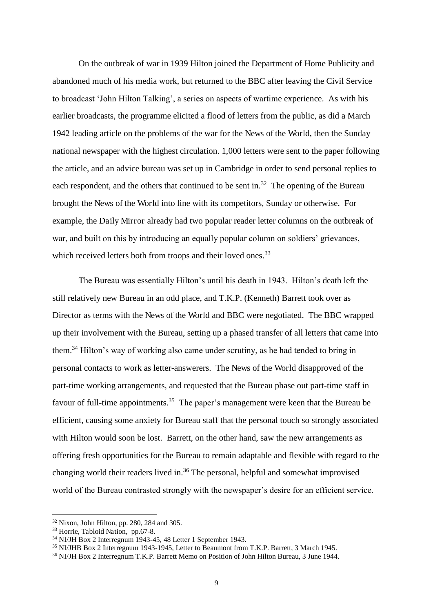On the outbreak of war in 1939 Hilton joined the Department of Home Publicity and abandoned much of his media work, but returned to the BBC after leaving the Civil Service to broadcast 'John Hilton Talking', a series on aspects of wartime experience. As with his earlier broadcasts, the programme elicited a flood of letters from the public, as did a March 1942 leading article on the problems of the war for the News of the World, then the Sunday national newspaper with the highest circulation. 1,000 letters were sent to the paper following the article, and an advice bureau was set up in Cambridge in order to send personal replies to each respondent, and the others that continued to be sent in.<sup>32</sup> The opening of the Bureau brought the News of the World into line with its competitors, Sunday or otherwise. For example, the Daily Mirror already had two popular reader letter columns on the outbreak of war, and built on this by introducing an equally popular column on soldiers' grievances, which received letters both from troops and their loved ones.<sup>33</sup>

The Bureau was essentially Hilton's until his death in 1943. Hilton's death left the still relatively new Bureau in an odd place, and T.K.P. (Kenneth) Barrett took over as Director as terms with the News of the World and BBC were negotiated. The BBC wrapped up their involvement with the Bureau, setting up a phased transfer of all letters that came into them.<sup>34</sup> Hilton's way of working also came under scrutiny, as he had tended to bring in personal contacts to work as letter-answerers. The News of the World disapproved of the part-time working arrangements, and requested that the Bureau phase out part-time staff in favour of full-time appointments.<sup>35</sup> The paper's management were keen that the Bureau be efficient, causing some anxiety for Bureau staff that the personal touch so strongly associated with Hilton would soon be lost. Barrett, on the other hand, saw the new arrangements as offering fresh opportunities for the Bureau to remain adaptable and flexible with regard to the changing world their readers lived in.<sup>36</sup> The personal, helpful and somewhat improvised world of the Bureau contrasted strongly with the newspaper's desire for an efficient service.

<sup>32</sup> Nixon, John Hilton, pp. 280, 284 and 305.

<sup>33</sup> Horrie, Tabloid Nation, pp.67-8.

 $34$  NI/JH Box 2 Interregnum 1943-45, 48 Letter 1 September 1943.

<sup>35</sup> NI/JHB Box 2 Interregnum 1943-1945, Letter to Beaumont from T.K.P. Barrett, 3 March 1945.

<sup>36</sup> NI/JH Box 2 Interregnum T.K.P. Barrett Memo on Position of John Hilton Bureau, 3 June 1944.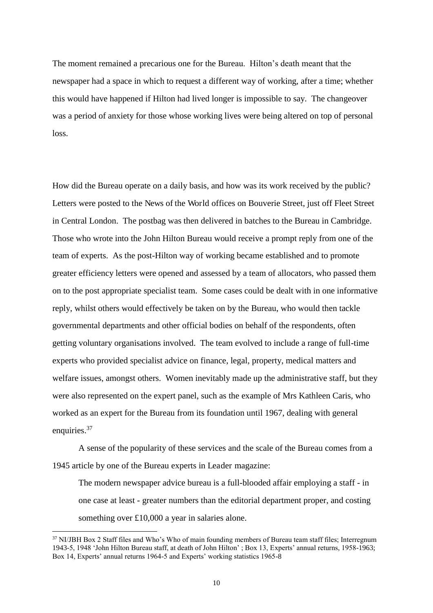The moment remained a precarious one for the Bureau. Hilton's death meant that the newspaper had a space in which to request a different way of working, after a time; whether this would have happened if Hilton had lived longer is impossible to say. The changeover was a period of anxiety for those whose working lives were being altered on top of personal loss.

How did the Bureau operate on a daily basis, and how was its work received by the public? Letters were posted to the News of the World offices on Bouverie Street, just off Fleet Street in Central London. The postbag was then delivered in batches to the Bureau in Cambridge. Those who wrote into the John Hilton Bureau would receive a prompt reply from one of the team of experts. As the post-Hilton way of working became established and to promote greater efficiency letters were opened and assessed by a team of allocators, who passed them on to the post appropriate specialist team. Some cases could be dealt with in one informative reply, whilst others would effectively be taken on by the Bureau, who would then tackle governmental departments and other official bodies on behalf of the respondents, often getting voluntary organisations involved. The team evolved to include a range of full-time experts who provided specialist advice on finance, legal, property, medical matters and welfare issues, amongst others. Women inevitably made up the administrative staff, but they were also represented on the expert panel, such as the example of Mrs Kathleen Caris, who worked as an expert for the Bureau from its foundation until 1967, dealing with general enquiries.<sup>37</sup>

A sense of the popularity of these services and the scale of the Bureau comes from a 1945 article by one of the Bureau experts in Leader magazine:

The modern newspaper advice bureau is a full-blooded affair employing a staff - in one case at least - greater numbers than the editorial department proper, and costing something over £10,000 a year in salaries alone.

<sup>&</sup>lt;sup>37</sup> NI/JBH Box 2 Staff files and Who's Who of main founding members of Bureau team staff files: Interregnum 1943-5, 1948 'John Hilton Bureau staff, at death of John Hilton' ; Box 13, Experts' annual returns, 1958-1963; Box 14, Experts' annual returns 1964-5 and Experts' working statistics 1965-8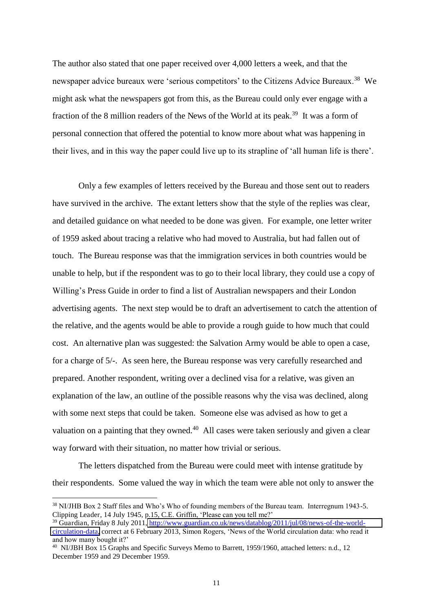The author also stated that one paper received over 4,000 letters a week, and that the newspaper advice bureaux were 'serious competitors' to the Citizens Advice Bureaux.<sup>38</sup> We might ask what the newspapers got from this, as the Bureau could only ever engage with a fraction of the 8 million readers of the News of the World at its peak.<sup>39</sup> It was a form of personal connection that offered the potential to know more about what was happening in their lives, and in this way the paper could live up to its strapline of 'all human life is there'.

Only a few examples of letters received by the Bureau and those sent out to readers have survived in the archive. The extant letters show that the style of the replies was clear, and detailed guidance on what needed to be done was given. For example, one letter writer of 1959 asked about tracing a relative who had moved to Australia, but had fallen out of touch. The Bureau response was that the immigration services in both countries would be unable to help, but if the respondent was to go to their local library, they could use a copy of Willing's Press Guide in order to find a list of Australian newspapers and their London advertising agents. The next step would be to draft an advertisement to catch the attention of the relative, and the agents would be able to provide a rough guide to how much that could cost. An alternative plan was suggested: the Salvation Army would be able to open a case, for a charge of 5/-. As seen here, the Bureau response was very carefully researched and prepared. Another respondent, writing over a declined visa for a relative, was given an explanation of the law, an outline of the possible reasons why the visa was declined, along with some next steps that could be taken. Someone else was advised as how to get a valuation on a painting that they owned. $40$  All cases were taken seriously and given a clear way forward with their situation, no matter how trivial or serious.

The letters dispatched from the Bureau were could meet with intense gratitude by their respondents. Some valued the way in which the team were able not only to answer the

<sup>&</sup>lt;sup>38</sup> NI/JHB Box 2 Staff files and Who's Who of founding members of the Bureau team. Interregnum 1943-5. Clipping Leader, 14 July 1945, p.15, C.E. Griffin, 'Please can you tell me?'

<sup>39</sup> Guardian, Friday 8 July 2011, [http://www.guardian.co.uk/news/datablog/2011/jul/08/news-of-the-world](http://www.guardian.co.uk/news/datablog/2011/jul/08/news-of-the-world-circulation-data)[circulation-data,](http://www.guardian.co.uk/news/datablog/2011/jul/08/news-of-the-world-circulation-data) correct at 6 February 2013, Simon Rogers, 'News of the World circulation data: who read it and how many bought it?'

<sup>&</sup>lt;sup>40</sup> NI/JBH Box 15 Graphs and Specific Surveys Memo to Barrett, 1959/1960, attached letters: n.d., 12 December 1959 and 29 December 1959.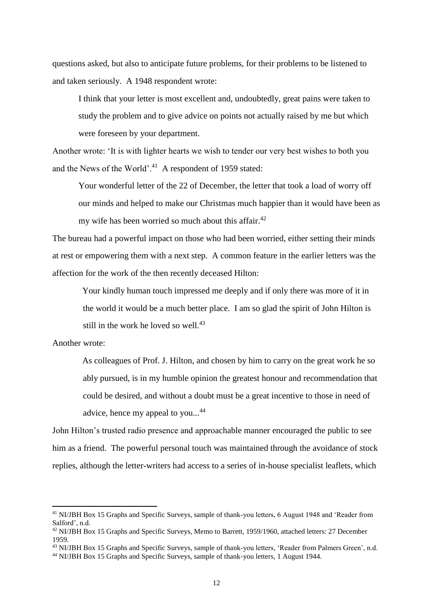questions asked, but also to anticipate future problems, for their problems to be listened to and taken seriously. A 1948 respondent wrote:

I think that your letter is most excellent and, undoubtedly, great pains were taken to study the problem and to give advice on points not actually raised by me but which were foreseen by your department.

Another wrote: 'It is with lighter hearts we wish to tender our very best wishes to both you and the News of the World'.<sup>41</sup> A respondent of 1959 stated:

Your wonderful letter of the 22 of December, the letter that took a load of worry off our minds and helped to make our Christmas much happier than it would have been as my wife has been worried so much about this affair. $42$ 

The bureau had a powerful impact on those who had been worried, either setting their minds at rest or empowering them with a next step. A common feature in the earlier letters was the affection for the work of the then recently deceased Hilton:

Your kindly human touch impressed me deeply and if only there was more of it in the world it would be a much better place. I am so glad the spirit of John Hilton is still in the work he loved so well. $43$ 

Another wrote:

 $\overline{a}$ 

As colleagues of Prof. J. Hilton, and chosen by him to carry on the great work he so ably pursued, is in my humble opinion the greatest honour and recommendation that could be desired, and without a doubt must be a great incentive to those in need of advice, hence my appeal to you...<sup>44</sup>

John Hilton's trusted radio presence and approachable manner encouraged the public to see him as a friend. The powerful personal touch was maintained through the avoidance of stock replies, although the letter-writers had access to a series of in-house specialist leaflets, which

<sup>41</sup> NI/JBH Box 15 Graphs and Specific Surveys, sample of thank-you letters, 6 August 1948 and 'Reader from Salford', n.d.

<sup>42</sup> NI/JBH Box 15 Graphs and Specific Surveys, Memo to Barrett, 1959/1960, attached letters: 27 December 1959.

<sup>43</sup> NI/JBH Box 15 Graphs and Specific Surveys, sample of thank-you letters, 'Reader from Palmers Green', n.d.

<sup>44</sup> NI/JBH Box 15 Graphs and Specific Surveys, sample of thank-you letters, 1 August 1944.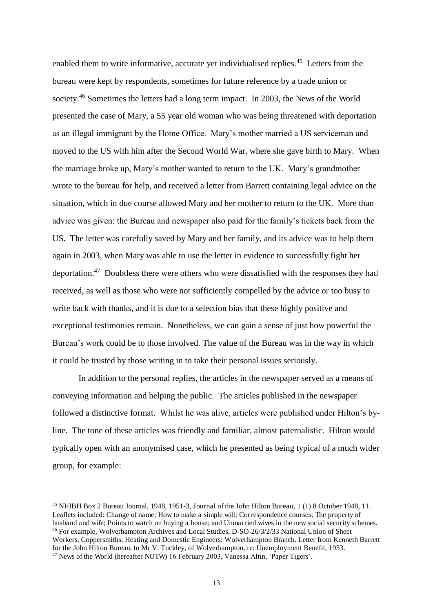enabled them to write informative, accurate yet individualised replies.<sup>45</sup> Letters from the bureau were kept by respondents, sometimes for future reference by a trade union or society.<sup>46</sup> Sometimes the letters had a long term impact. In 2003, the News of the World presented the case of Mary, a 55 year old woman who was being threatened with deportation as an illegal immigrant by the Home Office. Mary's mother married a US serviceman and moved to the US with him after the Second World War, where she gave birth to Mary. When the marriage broke up, Mary's mother wanted to return to the UK. Mary's grandmother wrote to the bureau for help, and received a letter from Barrett containing legal advice on the situation, which in due course allowed Mary and her mother to return to the UK. More than advice was given: the Bureau and newspaper also paid for the family's tickets back from the US. The letter was carefully saved by Mary and her family, and its advice was to help them again in 2003, when Mary was able to use the letter in evidence to successfully fight her deportation.<sup>47</sup> Doubtless there were others who were dissatisfied with the responses they had received, as well as those who were not sufficiently compelled by the advice or too busy to write back with thanks, and it is due to a selection bias that these highly positive and exceptional testimonies remain. Nonetheless, we can gain a sense of just how powerful the Bureau's work could be to those involved. The value of the Bureau was in the way in which it could be trusted by those writing in to take their personal issues seriously.

 In addition to the personal replies, the articles in the newspaper served as a means of conveying information and helping the public. The articles published in the newspaper followed a distinctive format. Whilst he was alive, articles were published under Hilton's byline. The tone of these articles was friendly and familiar, almost paternalistic. Hilton would typically open with an anonymised case, which he presented as being typical of a much wider group, for example:

<sup>45</sup> NI/JBH Box 2 Bureau Journal, 1948, 1951-3, Journal of the John Hilton Bureau, 1 (1) 8 October 1948, 11. Leaflets included: Change of name; How to make a simple will; Correspondence courses; The property of husband and wife; Points to watch on buying a house; and Unmarried wives in the new social security schemes. <sup>46</sup> For example, Wolverhampton Archives and Local Studies, D-SO-26/3/2/33 National Union of Sheet Workers, Coppersmiths, Heating and Domestic Engineers: Wolverhampton Branch. Letter from Kenneth Barrett for the John Hilton Bureau, to Mr V. Tuckley, of Wolverhampton, re: Unemployment Benefit, 1953. 47 News of the World (hereafter NOTW) 16 February 2003, Vanessa Altin, 'Paper Tigers'.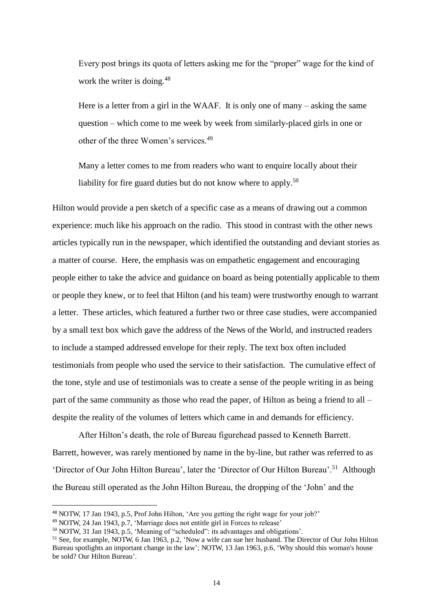Every post brings its quota of letters asking me for the "proper" wage for the kind of work the writer is doing.<sup>48</sup>

Here is a letter from a girl in the WAAF. It is only one of many – asking the same question – which come to me week by week from similarly-placed girls in one or other of the three Women's services.<sup>49</sup>

Many a letter comes to me from readers who want to enquire locally about their liability for fire guard duties but do not know where to apply.<sup>50</sup>

Hilton would provide a pen sketch of a specific case as a means of drawing out a common experience: much like his approach on the radio. This stood in contrast with the other news articles typically run in the newspaper, which identified the outstanding and deviant stories as a matter of course. Here, the emphasis was on empathetic engagement and encouraging people either to take the advice and guidance on board as being potentially applicable to them or people they knew, or to feel that Hilton (and his team) were trustworthy enough to warrant a letter. These articles, which featured a further two or three case studies, were accompanied by a small text box which gave the address of the News of the World, and instructed readers to include a stamped addressed envelope for their reply. The text box often included testimonials from people who used the service to their satisfaction. The cumulative effect of the tone, style and use of testimonials was to create a sense of the people writing in as being part of the same community as those who read the paper, of Hilton as being a friend to all – despite the reality of the volumes of letters which came in and demands for efficiency.

After Hilton's death, the role of Bureau figurehead passed to Kenneth Barrett. Barrett, however, was rarely mentioned by name in the by-line, but rather was referred to as 'Director of Our John Hilton Bureau', later the 'Director of Our Hilton Bureau'.<sup>51</sup> Although the Bureau still operated as the John Hilton Bureau, the dropping of the 'John' and the

<sup>48</sup> NOTW, 17 Jan 1943, p.5, Prof John Hilton, 'Are you getting the right wage for your job?'

<sup>49</sup> NOTW, 24 Jan 1943, p.7, 'Marriage does not entitle girl in Forces to release'

 $50$  NOTW, 31 Jan 1943, p.5, 'Meaning of "scheduled": its advantages and obligations'.

<sup>51</sup> See, for example, NOTW, 6 Jan 1963, p.2, 'Now a wife can sue her husband. The Director of Our John Hilton Bureau spotlights an important change in the law'; NOTW, 13 Jan 1963, p.6, 'Why should this woman's house be sold? Our Hilton Bureau'.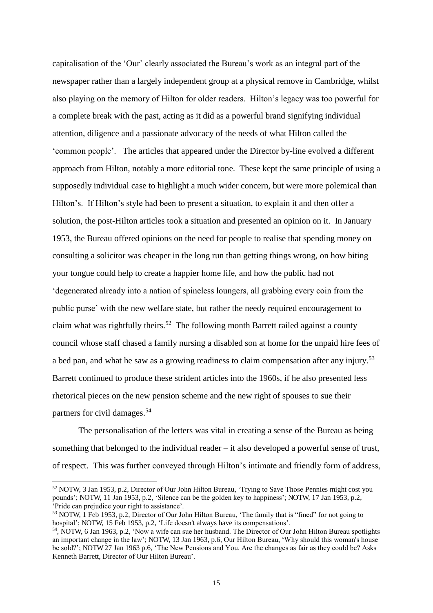capitalisation of the 'Our' clearly associated the Bureau's work as an integral part of the newspaper rather than a largely independent group at a physical remove in Cambridge, whilst also playing on the memory of Hilton for older readers. Hilton's legacy was too powerful for a complete break with the past, acting as it did as a powerful brand signifying individual attention, diligence and a passionate advocacy of the needs of what Hilton called the 'common people'. The articles that appeared under the Director by-line evolved a different approach from Hilton, notably a more editorial tone. These kept the same principle of using a supposedly individual case to highlight a much wider concern, but were more polemical than Hilton's. If Hilton's style had been to present a situation, to explain it and then offer a solution, the post-Hilton articles took a situation and presented an opinion on it. In January 1953, the Bureau offered opinions on the need for people to realise that spending money on consulting a solicitor was cheaper in the long run than getting things wrong, on how biting your tongue could help to create a happier home life, and how the public had not 'degenerated already into a nation of spineless loungers, all grabbing every coin from the public purse' with the new welfare state, but rather the needy required encouragement to claim what was rightfully theirs.<sup>52</sup> The following month Barrett railed against a county council whose staff chased a family nursing a disabled son at home for the unpaid hire fees of a bed pan, and what he saw as a growing readiness to claim compensation after any injury.<sup>53</sup> Barrett continued to produce these strident articles into the 1960s, if he also presented less rhetorical pieces on the new pension scheme and the new right of spouses to sue their partners for civil damages.<sup>54</sup>

The personalisation of the letters was vital in creating a sense of the Bureau as being something that belonged to the individual reader – it also developed a powerful sense of trust, of respect. This was further conveyed through Hilton's intimate and friendly form of address,

<sup>52</sup> NOTW, 3 Jan 1953, p.2, Director of Our John Hilton Bureau, 'Trying to Save Those Pennies might cost you pounds'; NOTW, 11 Jan 1953, p.2, 'Silence can be the golden key to happiness'; NOTW, 17 Jan 1953, p.2, 'Pride can prejudice your right to assistance'.

<sup>&</sup>lt;sup>53</sup> NOTW, 1 Feb 1953, p.2, Director of Our John Hilton Bureau, 'The family that is "fined" for not going to hospital': NOTW, 15 Feb 1953, p.2, 'Life doesn't always have its compensations'.

<sup>54</sup> , NOTW, 6 Jan 1963, p.2, 'Now a wife can sue her husband. The Director of Our John Hilton Bureau spotlights an important change in the law'; NOTW, 13 Jan 1963, p.6, Our Hilton Bureau, 'Why should this woman's house be sold?'; NOTW 27 Jan 1963 p.6, 'The New Pensions and You. Are the changes as fair as they could be? Asks Kenneth Barrett, Director of Our Hilton Bureau'.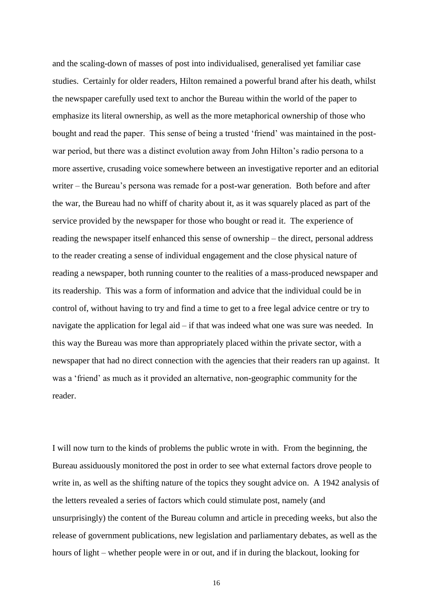and the scaling-down of masses of post into individualised, generalised yet familiar case studies. Certainly for older readers, Hilton remained a powerful brand after his death, whilst the newspaper carefully used text to anchor the Bureau within the world of the paper to emphasize its literal ownership, as well as the more metaphorical ownership of those who bought and read the paper. This sense of being a trusted 'friend' was maintained in the postwar period, but there was a distinct evolution away from John Hilton's radio persona to a more assertive, crusading voice somewhere between an investigative reporter and an editorial writer – the Bureau's persona was remade for a post-war generation. Both before and after the war, the Bureau had no whiff of charity about it, as it was squarely placed as part of the service provided by the newspaper for those who bought or read it. The experience of reading the newspaper itself enhanced this sense of ownership – the direct, personal address to the reader creating a sense of individual engagement and the close physical nature of reading a newspaper, both running counter to the realities of a mass-produced newspaper and its readership. This was a form of information and advice that the individual could be in control of, without having to try and find a time to get to a free legal advice centre or try to navigate the application for legal aid – if that was indeed what one was sure was needed. In this way the Bureau was more than appropriately placed within the private sector, with a newspaper that had no direct connection with the agencies that their readers ran up against. It was a 'friend' as much as it provided an alternative, non-geographic community for the reader.

I will now turn to the kinds of problems the public wrote in with. From the beginning, the Bureau assiduously monitored the post in order to see what external factors drove people to write in, as well as the shifting nature of the topics they sought advice on. A 1942 analysis of the letters revealed a series of factors which could stimulate post, namely (and unsurprisingly) the content of the Bureau column and article in preceding weeks, but also the release of government publications, new legislation and parliamentary debates, as well as the hours of light – whether people were in or out, and if in during the blackout, looking for

16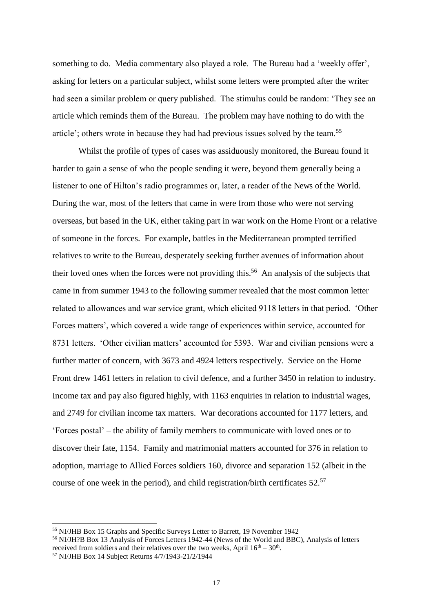something to do. Media commentary also played a role. The Bureau had a 'weekly offer', asking for letters on a particular subject, whilst some letters were prompted after the writer had seen a similar problem or query published. The stimulus could be random: 'They see an article which reminds them of the Bureau. The problem may have nothing to do with the article'; others wrote in because they had had previous issues solved by the team. 55

Whilst the profile of types of cases was assiduously monitored, the Bureau found it harder to gain a sense of who the people sending it were, beyond them generally being a listener to one of Hilton's radio programmes or, later, a reader of the News of the World. During the war, most of the letters that came in were from those who were not serving overseas, but based in the UK, either taking part in war work on the Home Front or a relative of someone in the forces. For example, battles in the Mediterranean prompted terrified relatives to write to the Bureau, desperately seeking further avenues of information about their loved ones when the forces were not providing this.<sup>56</sup> An analysis of the subjects that came in from summer 1943 to the following summer revealed that the most common letter related to allowances and war service grant, which elicited 9118 letters in that period. 'Other Forces matters', which covered a wide range of experiences within service, accounted for 8731 letters. 'Other civilian matters' accounted for 5393. War and civilian pensions were a further matter of concern, with 3673 and 4924 letters respectively. Service on the Home Front drew 1461 letters in relation to civil defence, and a further 3450 in relation to industry. Income tax and pay also figured highly, with 1163 enquiries in relation to industrial wages, and 2749 for civilian income tax matters. War decorations accounted for 1177 letters, and 'Forces postal' – the ability of family members to communicate with loved ones or to discover their fate, 1154. Family and matrimonial matters accounted for 376 in relation to adoption, marriage to Allied Forces soldiers 160, divorce and separation 152 (albeit in the course of one week in the period), and child registration/birth certificates 52.<sup>57</sup>

<sup>55</sup> NI/JHB Box 15 Graphs and Specific Surveys Letter to Barrett, 19 November 1942

<sup>56</sup> NI/JH?B Box 13 Analysis of Forces Letters 1942-44 (News of the World and BBC), Analysis of letters received from soldiers and their relatives over the two weeks, April  $16<sup>th</sup> - 30<sup>th</sup>$ .

<sup>57</sup> NI/JHB Box 14 Subject Returns 4/7/1943-21/2/1944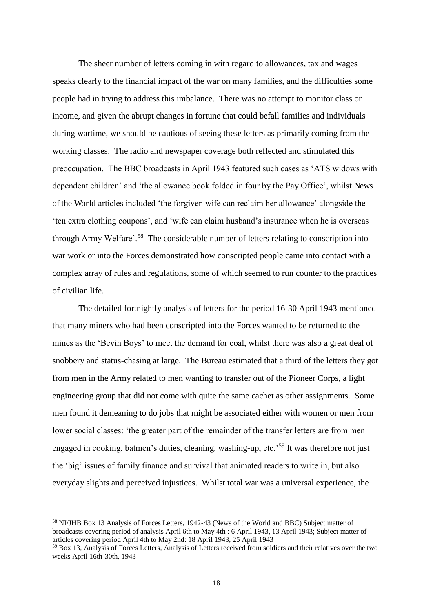The sheer number of letters coming in with regard to allowances, tax and wages speaks clearly to the financial impact of the war on many families, and the difficulties some people had in trying to address this imbalance. There was no attempt to monitor class or income, and given the abrupt changes in fortune that could befall families and individuals during wartime, we should be cautious of seeing these letters as primarily coming from the working classes. The radio and newspaper coverage both reflected and stimulated this preoccupation. The BBC broadcasts in April 1943 featured such cases as 'ATS widows with dependent children' and 'the allowance book folded in four by the Pay Office', whilst News of the World articles included 'the forgiven wife can reclaim her allowance' alongside the 'ten extra clothing coupons', and 'wife can claim husband's insurance when he is overseas through Army Welfare'.<sup>58</sup> The considerable number of letters relating to conscription into war work or into the Forces demonstrated how conscripted people came into contact with a complex array of rules and regulations, some of which seemed to run counter to the practices of civilian life.

The detailed fortnightly analysis of letters for the period 16-30 April 1943 mentioned that many miners who had been conscripted into the Forces wanted to be returned to the mines as the 'Bevin Boys' to meet the demand for coal, whilst there was also a great deal of snobbery and status-chasing at large. The Bureau estimated that a third of the letters they got from men in the Army related to men wanting to transfer out of the Pioneer Corps, a light engineering group that did not come with quite the same cachet as other assignments. Some men found it demeaning to do jobs that might be associated either with women or men from lower social classes: 'the greater part of the remainder of the transfer letters are from men engaged in cooking, batmen's duties, cleaning, washing-up, etc.<sup>59</sup> It was therefore not just the 'big' issues of family finance and survival that animated readers to write in, but also everyday slights and perceived injustices. Whilst total war was a universal experience, the

<sup>58</sup> NI/JHB Box 13 Analysis of Forces Letters, 1942-43 (News of the World and BBC) Subject matter of broadcasts covering period of analysis April 6th to May 4th : 6 April 1943, 13 April 1943; Subject matter of articles covering period April 4th to May 2nd: 18 April 1943, 25 April 1943

<sup>59</sup> Box 13, Analysis of Forces Letters, Analysis of Letters received from soldiers and their relatives over the two weeks April 16th-30th, 1943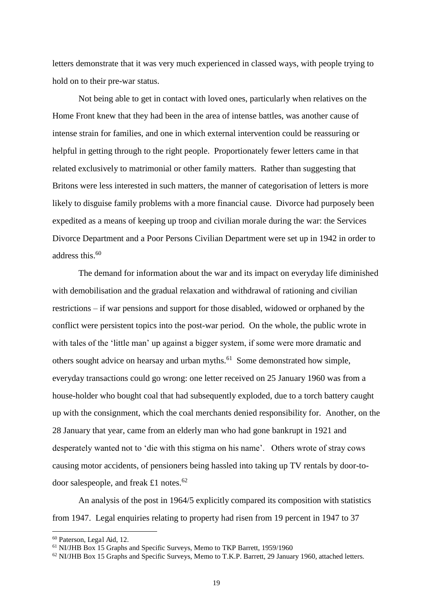letters demonstrate that it was very much experienced in classed ways, with people trying to hold on to their pre-war status.

Not being able to get in contact with loved ones, particularly when relatives on the Home Front knew that they had been in the area of intense battles, was another cause of intense strain for families, and one in which external intervention could be reassuring or helpful in getting through to the right people. Proportionately fewer letters came in that related exclusively to matrimonial or other family matters. Rather than suggesting that Britons were less interested in such matters, the manner of categorisation of letters is more likely to disguise family problems with a more financial cause. Divorce had purposely been expedited as a means of keeping up troop and civilian morale during the war: the Services Divorce Department and a Poor Persons Civilian Department were set up in 1942 in order to address this. $60$ 

The demand for information about the war and its impact on everyday life diminished with demobilisation and the gradual relaxation and withdrawal of rationing and civilian restrictions – if war pensions and support for those disabled, widowed or orphaned by the conflict were persistent topics into the post-war period. On the whole, the public wrote in with tales of the 'little man' up against a bigger system, if some were more dramatic and others sought advice on hearsay and urban myths.<sup>61</sup> Some demonstrated how simple, everyday transactions could go wrong: one letter received on 25 January 1960 was from a house-holder who bought coal that had subsequently exploded, due to a torch battery caught up with the consignment, which the coal merchants denied responsibility for. Another, on the 28 January that year, came from an elderly man who had gone bankrupt in 1921 and desperately wanted not to 'die with this stigma on his name'. Others wrote of stray cows causing motor accidents, of pensioners being hassled into taking up TV rentals by door-todoor salespeople, and freak £1 notes.<sup>62</sup>

An analysis of the post in 1964/5 explicitly compared its composition with statistics from 1947. Legal enquiries relating to property had risen from 19 percent in 1947 to 37

<sup>60</sup> Paterson, Legal Aid, 12.

<sup>61</sup> NI/JHB Box 15 Graphs and Specific Surveys, Memo to TKP Barrett, 1959/1960

<sup>62</sup> NI/JHB Box 15 Graphs and Specific Surveys, Memo to T.K.P. Barrett, 29 January 1960, attached letters.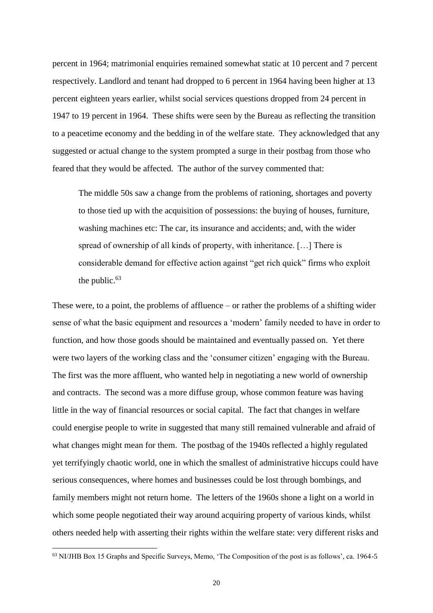percent in 1964; matrimonial enquiries remained somewhat static at 10 percent and 7 percent respectively. Landlord and tenant had dropped to 6 percent in 1964 having been higher at 13 percent eighteen years earlier, whilst social services questions dropped from 24 percent in 1947 to 19 percent in 1964. These shifts were seen by the Bureau as reflecting the transition to a peacetime economy and the bedding in of the welfare state. They acknowledged that any suggested or actual change to the system prompted a surge in their postbag from those who feared that they would be affected. The author of the survey commented that:

The middle 50s saw a change from the problems of rationing, shortages and poverty to those tied up with the acquisition of possessions: the buying of houses, furniture, washing machines etc: The car, its insurance and accidents; and, with the wider spread of ownership of all kinds of property, with inheritance. […] There is considerable demand for effective action against "get rich quick" firms who exploit the public.<sup>63</sup>

These were, to a point, the problems of affluence – or rather the problems of a shifting wider sense of what the basic equipment and resources a 'modern' family needed to have in order to function, and how those goods should be maintained and eventually passed on. Yet there were two layers of the working class and the 'consumer citizen' engaging with the Bureau. The first was the more affluent, who wanted help in negotiating a new world of ownership and contracts. The second was a more diffuse group, whose common feature was having little in the way of financial resources or social capital. The fact that changes in welfare could energise people to write in suggested that many still remained vulnerable and afraid of what changes might mean for them. The postbag of the 1940s reflected a highly regulated yet terrifyingly chaotic world, one in which the smallest of administrative hiccups could have serious consequences, where homes and businesses could be lost through bombings, and family members might not return home. The letters of the 1960s shone a light on a world in which some people negotiated their way around acquiring property of various kinds, whilst others needed help with asserting their rights within the welfare state: very different risks and

<sup>63</sup> NI/JHB Box 15 Graphs and Specific Surveys, Memo, 'The Composition of the post is as follows', ca. 1964-5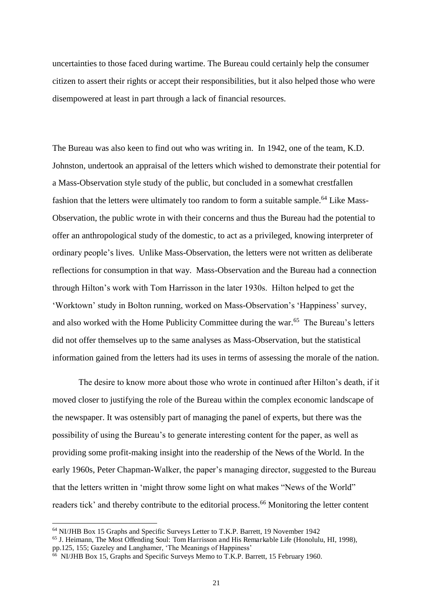uncertainties to those faced during wartime. The Bureau could certainly help the consumer citizen to assert their rights or accept their responsibilities, but it also helped those who were disempowered at least in part through a lack of financial resources.

The Bureau was also keen to find out who was writing in. In 1942, one of the team, K.D. Johnston, undertook an appraisal of the letters which wished to demonstrate their potential for a Mass-Observation style study of the public, but concluded in a somewhat crestfallen fashion that the letters were ultimately too random to form a suitable sample.<sup>64</sup> Like Mass-Observation, the public wrote in with their concerns and thus the Bureau had the potential to offer an anthropological study of the domestic, to act as a privileged, knowing interpreter of ordinary people's lives. Unlike Mass-Observation, the letters were not written as deliberate reflections for consumption in that way. Mass-Observation and the Bureau had a connection through Hilton's work with Tom Harrisson in the later 1930s. Hilton helped to get the 'Worktown' study in Bolton running, worked on Mass-Observation's 'Happiness' survey, and also worked with the Home Publicity Committee during the war.<sup>65</sup> The Bureau's letters did not offer themselves up to the same analyses as Mass-Observation, but the statistical information gained from the letters had its uses in terms of assessing the morale of the nation.

The desire to know more about those who wrote in continued after Hilton's death, if it moved closer to justifying the role of the Bureau within the complex economic landscape of the newspaper. It was ostensibly part of managing the panel of experts, but there was the possibility of using the Bureau's to generate interesting content for the paper, as well as providing some profit-making insight into the readership of the News of the World. In the early 1960s, Peter Chapman-Walker, the paper's managing director, suggested to the Bureau that the letters written in 'might throw some light on what makes "News of the World" readers tick' and thereby contribute to the editorial process.<sup>66</sup> Monitoring the letter content

<sup>64</sup> NI/JHB Box 15 Graphs and Specific Surveys Letter to T.K.P. Barrett, 19 November 1942

<sup>&</sup>lt;sup>65</sup> J. Heimann, The Most Offending Soul: Tom Harrisson and His Remarkable Life (Honolulu, HI, 1998), pp.125, 155; Gazeley and Langhamer, 'The Meanings of Happiness'

<sup>66</sup> NI/JHB Box 15, Graphs and Specific Surveys Memo to T.K.P. Barrett, 15 February 1960.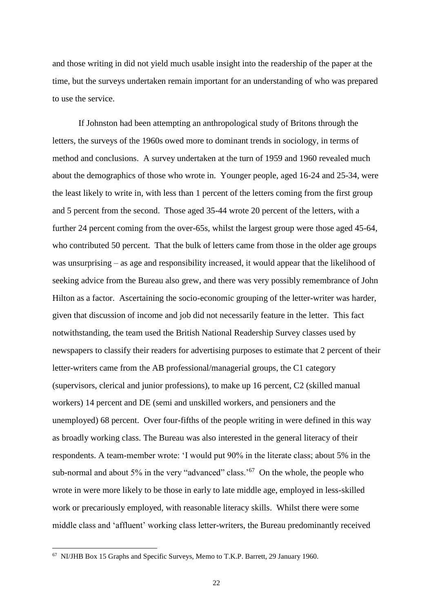and those writing in did not yield much usable insight into the readership of the paper at the time, but the surveys undertaken remain important for an understanding of who was prepared to use the service.

If Johnston had been attempting an anthropological study of Britons through the letters, the surveys of the 1960s owed more to dominant trends in sociology, in terms of method and conclusions. A survey undertaken at the turn of 1959 and 1960 revealed much about the demographics of those who wrote in. Younger people, aged 16-24 and 25-34, were the least likely to write in, with less than 1 percent of the letters coming from the first group and 5 percent from the second. Those aged 35-44 wrote 20 percent of the letters, with a further 24 percent coming from the over-65s, whilst the largest group were those aged 45-64, who contributed 50 percent. That the bulk of letters came from those in the older age groups was unsurprising – as age and responsibility increased, it would appear that the likelihood of seeking advice from the Bureau also grew, and there was very possibly remembrance of John Hilton as a factor. Ascertaining the socio-economic grouping of the letter-writer was harder, given that discussion of income and job did not necessarily feature in the letter. This fact notwithstanding, the team used the British National Readership Survey classes used by newspapers to classify their readers for advertising purposes to estimate that 2 percent of their letter-writers came from the AB professional/managerial groups, the C1 category (supervisors, clerical and junior professions), to make up 16 percent, C2 (skilled manual workers) 14 percent and DE (semi and unskilled workers, and pensioners and the unemployed) 68 percent. Over four-fifths of the people writing in were defined in this way as broadly working class. The Bureau was also interested in the general literacy of their respondents. A team-member wrote: 'I would put 90% in the literate class; about 5% in the sub-normal and about 5% in the very "advanced" class.<sup>'67</sup> On the whole, the people who wrote in were more likely to be those in early to late middle age, employed in less-skilled work or precariously employed, with reasonable literacy skills. Whilst there were some middle class and 'affluent' working class letter-writers, the Bureau predominantly received

<sup>67</sup> NI/JHB Box 15 Graphs and Specific Surveys, Memo to T.K.P. Barrett, 29 January 1960.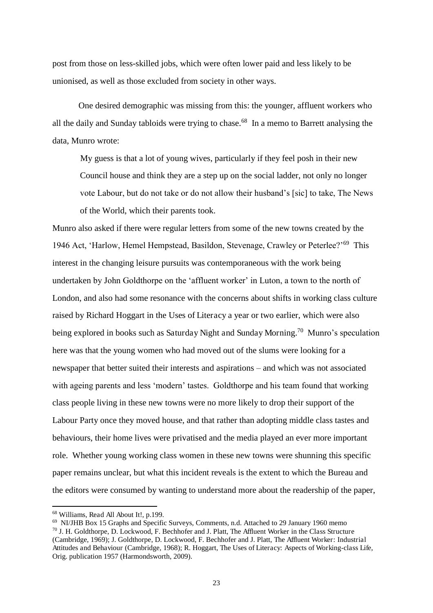post from those on less-skilled jobs, which were often lower paid and less likely to be unionised, as well as those excluded from society in other ways.

One desired demographic was missing from this: the younger, affluent workers who all the daily and Sunday tabloids were trying to chase.<sup>68</sup> In a memo to Barrett analysing the data, Munro wrote:

My guess is that a lot of young wives, particularly if they feel posh in their new Council house and think they are a step up on the social ladder, not only no longer vote Labour, but do not take or do not allow their husband's [sic] to take, The News of the World, which their parents took.

Munro also asked if there were regular letters from some of the new towns created by the 1946 Act, 'Harlow, Hemel Hempstead, Basildon, Stevenage, Crawley or Peterlee?'<sup>69</sup> This interest in the changing leisure pursuits was contemporaneous with the work being undertaken by John Goldthorpe on the 'affluent worker' in Luton, a town to the north of London, and also had some resonance with the concerns about shifts in working class culture raised by Richard Hoggart in the Uses of Literacy a year or two earlier, which were also being explored in books such as Saturday Night and Sunday Morning.<sup>70</sup> Munro's speculation here was that the young women who had moved out of the slums were looking for a newspaper that better suited their interests and aspirations – and which was not associated with ageing parents and less 'modern' tastes. Goldthorpe and his team found that working class people living in these new towns were no more likely to drop their support of the Labour Party once they moved house, and that rather than adopting middle class tastes and behaviours, their home lives were privatised and the media played an ever more important role. Whether young working class women in these new towns were shunning this specific paper remains unclear, but what this incident reveals is the extent to which the Bureau and the editors were consumed by wanting to understand more about the readership of the paper,

<sup>68</sup> Williams, Read All About It!, p.199.

<sup>69</sup> NI/JHB Box 15 Graphs and Specific Surveys, Comments, n.d. Attached to 29 January 1960 memo <sup>70</sup> J. H. Goldthorpe, D. Lockwood, F. Bechhofer and J. Platt, The Affluent Worker in the Class Structure (Cambridge, 1969); J. Goldthorpe, D. Lockwood, F. Bechhofer and J. Platt, The Affluent Worker: Industrial Attitudes and Behaviour (Cambridge, 1968); R. Hoggart, The Uses of Literacy: Aspects of Working-class Life, Orig. publication 1957 (Harmondsworth, 2009).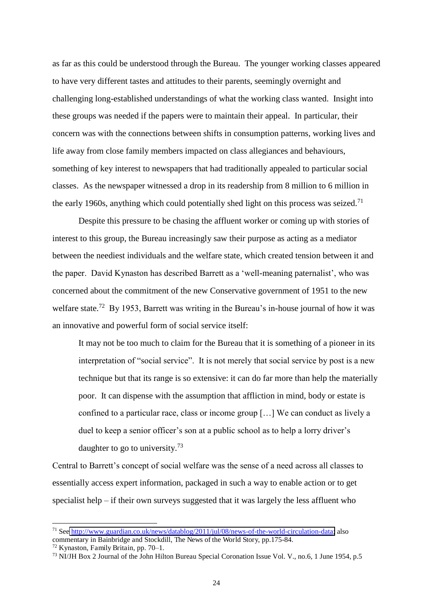as far as this could be understood through the Bureau. The younger working classes appeared to have very different tastes and attitudes to their parents, seemingly overnight and challenging long-established understandings of what the working class wanted. Insight into these groups was needed if the papers were to maintain their appeal. In particular, their concern was with the connections between shifts in consumption patterns, working lives and life away from close family members impacted on class allegiances and behaviours, something of key interest to newspapers that had traditionally appealed to particular social classes. As the newspaper witnessed a drop in its readership from 8 million to 6 million in the early 1960s, anything which could potentially shed light on this process was seized.<sup>71</sup>

Despite this pressure to be chasing the affluent worker or coming up with stories of interest to this group, the Bureau increasingly saw their purpose as acting as a mediator between the neediest individuals and the welfare state, which created tension between it and the paper. David Kynaston has described Barrett as a 'well-meaning paternalist', who was concerned about the commitment of the new Conservative government of 1951 to the new welfare state.<sup>72</sup> By 1953, Barrett was writing in the Bureau's in-house journal of how it was an innovative and powerful form of social service itself:

It may not be too much to claim for the Bureau that it is something of a pioneer in its interpretation of "social service". It is not merely that social service by post is a new technique but that its range is so extensive: it can do far more than help the materially poor. It can dispense with the assumption that affliction in mind, body or estate is confined to a particular race, class or income group […] We can conduct as lively a duel to keep a senior officer's son at a public school as to help a lorry driver's daughter to go to university.<sup>73</sup>

Central to Barrett's concept of social welfare was the sense of a need across all classes to essentially access expert information, packaged in such a way to enable action or to get specialist help – if their own surveys suggested that it was largely the less affluent who

<sup>71</sup> See [http://www.guardian.co.uk/news/datablog/2011/jul/08/news-of-the-world-circulation-data;](http://www.guardian.co.uk/news/datablog/2011/jul/08/news-of-the-world-circulation-data) also commentary in Bainbridge and Stockdill, The News of the World Story, pp.175-84.

<sup>72</sup> Kynaston, Family Britain, pp. 70–1.

<sup>73</sup> NI/JH Box 2 Journal of the John Hilton Bureau Special Coronation Issue Vol. V., no.6, 1 June 1954, p.5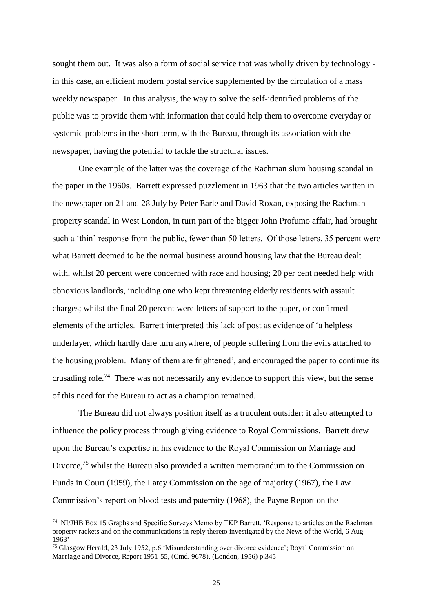sought them out. It was also a form of social service that was wholly driven by technology in this case, an efficient modern postal service supplemented by the circulation of a mass weekly newspaper. In this analysis, the way to solve the self-identified problems of the public was to provide them with information that could help them to overcome everyday or systemic problems in the short term, with the Bureau, through its association with the newspaper, having the potential to tackle the structural issues.

One example of the latter was the coverage of the Rachman slum housing scandal in the paper in the 1960s. Barrett expressed puzzlement in 1963 that the two articles written in the newspaper on 21 and 28 July by Peter Earle and David Roxan, exposing the Rachman property scandal in West London, in turn part of the bigger John Profumo affair, had brought such a 'thin' response from the public, fewer than 50 letters. Of those letters, 35 percent were what Barrett deemed to be the normal business around housing law that the Bureau dealt with, whilst 20 percent were concerned with race and housing; 20 per cent needed help with obnoxious landlords, including one who kept threatening elderly residents with assault charges; whilst the final 20 percent were letters of support to the paper, or confirmed elements of the articles. Barrett interpreted this lack of post as evidence of 'a helpless underlayer, which hardly dare turn anywhere, of people suffering from the evils attached to the housing problem. Many of them are frightened', and encouraged the paper to continue its crusading role.<sup>74</sup> There was not necessarily any evidence to support this view, but the sense of this need for the Bureau to act as a champion remained.

The Bureau did not always position itself as a truculent outsider: it also attempted to influence the policy process through giving evidence to Royal Commissions. Barrett drew upon the Bureau's expertise in his evidence to the Royal Commission on Marriage and Divorce,<sup>75</sup> whilst the Bureau also provided a written memorandum to the Commission on Funds in Court (1959), the Latey Commission on the age of majority (1967), the Law Commission's report on blood tests and paternity (1968), the Payne Report on the

<sup>&</sup>lt;sup>74</sup> NI/JHB Box 15 Graphs and Specific Surveys Memo by TKP Barrett, 'Response to articles on the Rachman property rackets and on the communications in reply thereto investigated by the News of the World, 6 Aug 1963'

<sup>75</sup> Glasgow Herald, 23 July 1952, p.6 'Misunderstanding over divorce evidence'; Royal Commission on Marriage and Divorce, Report 1951-55, (Cmd. 9678), (London, 1956) p.345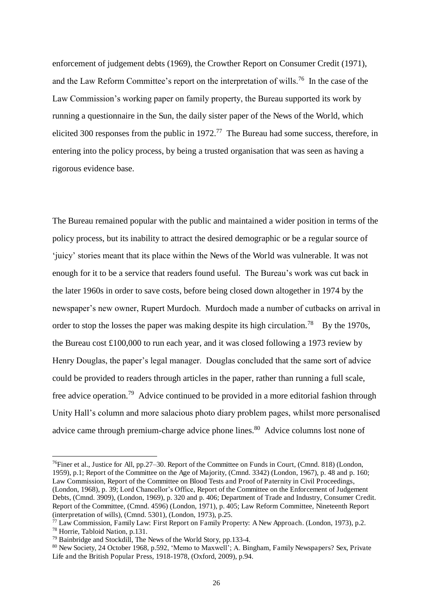enforcement of judgement debts (1969), the Crowther Report on Consumer Credit (1971), and the Law Reform Committee's report on the interpretation of wills.<sup>76</sup> In the case of the Law Commission's working paper on family property, the Bureau supported its work by running a questionnaire in the Sun, the daily sister paper of the News of the World, which elicited 300 responses from the public in  $1972$ .<sup>77</sup> The Bureau had some success, therefore, in entering into the policy process, by being a trusted organisation that was seen as having a rigorous evidence base.

The Bureau remained popular with the public and maintained a wider position in terms of the policy process, but its inability to attract the desired demographic or be a regular source of 'juicy' stories meant that its place within the News of the World was vulnerable. It was not enough for it to be a service that readers found useful. The Bureau's work was cut back in the later 1960s in order to save costs, before being closed down altogether in 1974 by the newspaper's new owner, Rupert Murdoch. Murdoch made a number of cutbacks on arrival in order to stop the losses the paper was making despite its high circulation.<sup>78</sup> By the 1970s, the Bureau cost £100,000 to run each year, and it was closed following a 1973 review by Henry Douglas, the paper's legal manager. Douglas concluded that the same sort of advice could be provided to readers through articles in the paper, rather than running a full scale, free advice operation.<sup>79</sup> Advice continued to be provided in a more editorial fashion through Unity Hall's column and more salacious photo diary problem pages, whilst more personalised advice came through premium-charge advice phone lines.<sup>80</sup> Advice columns lost none of

<sup>76</sup>Finer et al., Justice for All, pp.27–30. Report of the Committee on Funds in Court, (Cmnd. 818) (London, 1959), p.1; Report of the Committee on the Age of Majority, (Cmnd. 3342) (London, 1967), p. 48 and p. 160; Law Commission, Report of the Committee on Blood Tests and Proof of Paternity in Civil Proceedings, (London, 1968), p. 39; Lord Chancellor's Office, Report of the Committee on the Enforcement of Judgement Debts, (Cmnd. 3909), (London, 1969), p. 320 and p. 406; Department of Trade and Industry, Consumer Credit. Report of the Committee, (Cmnd. 4596) (London, 1971), p. 405; Law Reform Committee, Nineteenth Report (interpretation of wills), (Cmnd. 5301), (London, 1973), p.25.

 $77$  Law Commission, Family Law: First Report on Family Property: A New Approach. (London, 1973), p.2.

<sup>78</sup> Horrie, Tabloid Nation, p.131.

 $79$  Bainbridge and Stockdill. The News of the World Story, pp.133-4.

<sup>80</sup> New Society, 24 October 1968, p.592, 'Memo to Maxwell'; A. Bingham, Family Newspapers? Sex, Private Life and the British Popular Press, 1918-1978, (Oxford, 2009), p.94.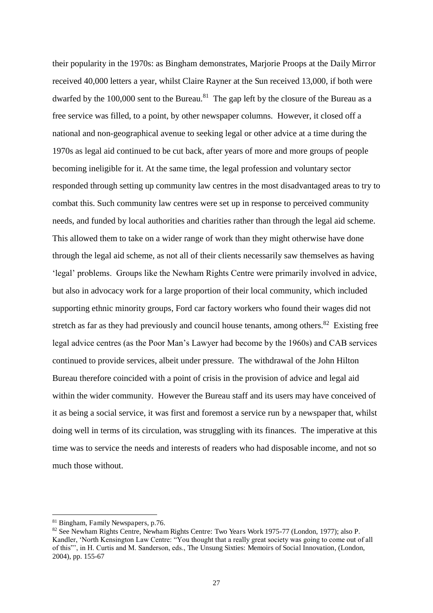their popularity in the 1970s: as Bingham demonstrates, Marjorie Proops at the Daily Mirror received 40,000 letters a year, whilst Claire Rayner at the Sun received 13,000, if both were dwarfed by the  $100,000$  sent to the Bureau.<sup>81</sup> The gap left by the closure of the Bureau as a free service was filled, to a point, by other newspaper columns. However, it closed off a national and non-geographical avenue to seeking legal or other advice at a time during the 1970s as legal aid continued to be cut back, after years of more and more groups of people becoming ineligible for it. At the same time, the legal profession and voluntary sector responded through setting up community law centres in the most disadvantaged areas to try to combat this. Such community law centres were set up in response to perceived community needs, and funded by local authorities and charities rather than through the legal aid scheme. This allowed them to take on a wider range of work than they might otherwise have done through the legal aid scheme, as not all of their clients necessarily saw themselves as having 'legal' problems. Groups like the Newham Rights Centre were primarily involved in advice, but also in advocacy work for a large proportion of their local community, which included supporting ethnic minority groups, Ford car factory workers who found their wages did not stretch as far as they had previously and council house tenants, among others. $82$  Existing free legal advice centres (as the Poor Man's Lawyer had become by the 1960s) and CAB services continued to provide services, albeit under pressure. The withdrawal of the John Hilton Bureau therefore coincided with a point of crisis in the provision of advice and legal aid within the wider community. However the Bureau staff and its users may have conceived of it as being a social service, it was first and foremost a service run by a newspaper that, whilst doing well in terms of its circulation, was struggling with its finances. The imperative at this time was to service the needs and interests of readers who had disposable income, and not so much those without.

<sup>&</sup>lt;sup>81</sup> Bingham, Family Newspapers, p.76.

<sup>82</sup> See Newham Rights Centre, Newham Rights Centre: Two Years Work 1975-77 (London, 1977); also P. Kandler, 'North Kensington Law Centre: "You thought that a really great society was going to come out of all of this"', in H. Curtis and M. Sanderson, eds., The Unsung Sixties: Memoirs of Social Innovation, (London, 2004), pp. 155-67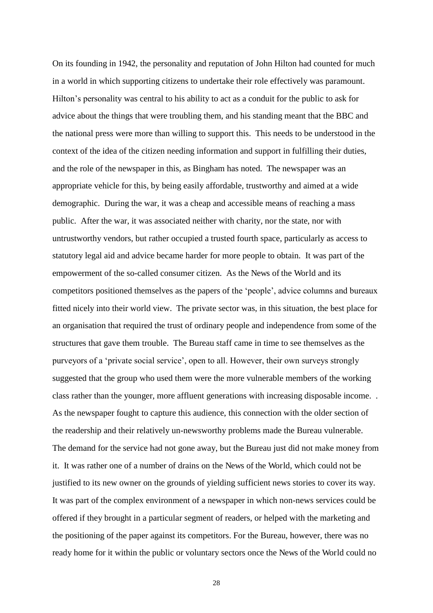On its founding in 1942, the personality and reputation of John Hilton had counted for much in a world in which supporting citizens to undertake their role effectively was paramount. Hilton's personality was central to his ability to act as a conduit for the public to ask for advice about the things that were troubling them, and his standing meant that the BBC and the national press were more than willing to support this. This needs to be understood in the context of the idea of the citizen needing information and support in fulfilling their duties, and the role of the newspaper in this, as Bingham has noted. The newspaper was an appropriate vehicle for this, by being easily affordable, trustworthy and aimed at a wide demographic. During the war, it was a cheap and accessible means of reaching a mass public. After the war, it was associated neither with charity, nor the state, nor with untrustworthy vendors, but rather occupied a trusted fourth space, particularly as access to statutory legal aid and advice became harder for more people to obtain. It was part of the empowerment of the so-called consumer citizen. As the News of the World and its competitors positioned themselves as the papers of the 'people', advice columns and bureaux fitted nicely into their world view. The private sector was, in this situation, the best place for an organisation that required the trust of ordinary people and independence from some of the structures that gave them trouble. The Bureau staff came in time to see themselves as the purveyors of a 'private social service', open to all. However, their own surveys strongly suggested that the group who used them were the more vulnerable members of the working class rather than the younger, more affluent generations with increasing disposable income. . As the newspaper fought to capture this audience, this connection with the older section of the readership and their relatively un-newsworthy problems made the Bureau vulnerable. The demand for the service had not gone away, but the Bureau just did not make money from it. It was rather one of a number of drains on the News of the World, which could not be justified to its new owner on the grounds of yielding sufficient news stories to cover its way. It was part of the complex environment of a newspaper in which non-news services could be offered if they brought in a particular segment of readers, or helped with the marketing and the positioning of the paper against its competitors. For the Bureau, however, there was no ready home for it within the public or voluntary sectors once the News of the World could no

28